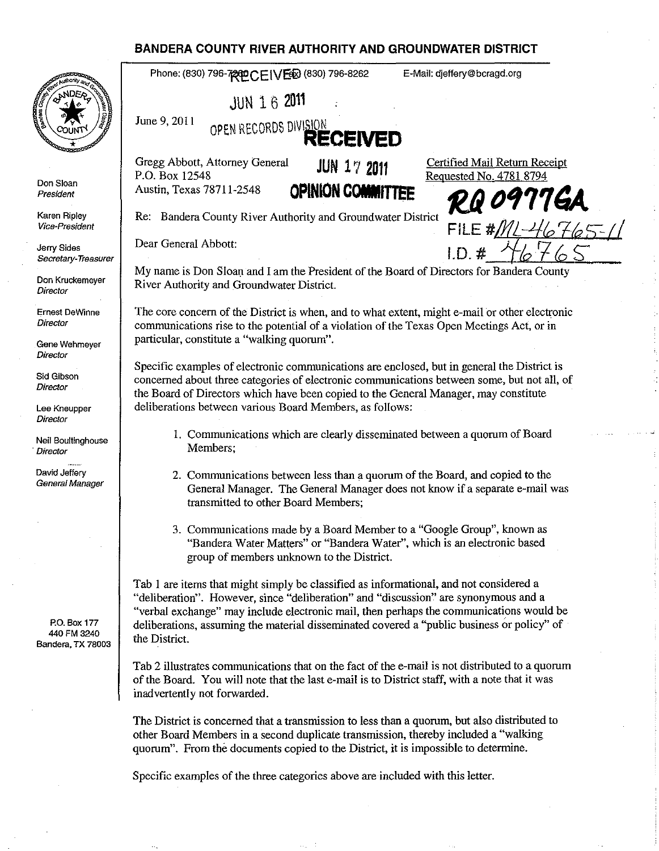## **BANDERA COUNTY RIVER AUTHORITY AND GROUNDWATER DISTRICT**

|                                                  | BANDERA COUNTY RIVER AUTHORITY AND GROUNDWATER DISTRICT                                                                                                                                                                                                                                                                                                                                 |
|--------------------------------------------------|-----------------------------------------------------------------------------------------------------------------------------------------------------------------------------------------------------------------------------------------------------------------------------------------------------------------------------------------------------------------------------------------|
|                                                  | Phone: (830) 796-7200 CEIVEED (830) 796-8262<br>E-Mail: dieffery@bcragd.org                                                                                                                                                                                                                                                                                                             |
|                                                  | <b>JUN 16 2011</b>                                                                                                                                                                                                                                                                                                                                                                      |
|                                                  | June 9, 2011<br>OPEN RECORDS DIVISION <b>RECEIVED</b>                                                                                                                                                                                                                                                                                                                                   |
|                                                  | Gregg Abbott, Attorney General<br>Certified Mail Return Receipt<br><b>JUN 17 2011</b><br>P.O. Box 12548                                                                                                                                                                                                                                                                                 |
| Don Sloan<br>President                           | Requested No. 4781 8794<br><b>OPINION COMMITTEE</b><br>Austin, Texas 78711-2548<br>RQ 0977GA                                                                                                                                                                                                                                                                                            |
| Karen Ripley<br><b>Vice-President</b>            | Re: Bandera County River Authority and Groundwater District<br>FILE # $ML-41$ 676                                                                                                                                                                                                                                                                                                       |
| Jerry Sides<br>Secretary-Treasurer               | Dear General Abbott:<br>1. D. <i>#</i>                                                                                                                                                                                                                                                                                                                                                  |
| Don Kruckemeyer<br>Director                      | My name is Don Sloan and I am the President of the Board of Directors for Bandera County<br>River Authority and Groundwater District.                                                                                                                                                                                                                                                   |
| Ernest DeWinne<br>Director                       | The core concern of the District is when, and to what extent, might e-mail or other electronic<br>communications rise to the potential of a violation of the Texas Open Meetings Act, or in                                                                                                                                                                                             |
| Gene Wehmeyer<br>Director                        | particular, constitute a "walking quorum".                                                                                                                                                                                                                                                                                                                                              |
| Sid Gibson<br>Director                           | Specific examples of electronic communications are enclosed, but in general the District is<br>concerned about three categories of electronic communications between some, but not all, of                                                                                                                                                                                              |
| Lee Kneupper<br>Director                         | the Board of Directors which have been copied to the General Manager, may constitute<br>deliberations between various Board Members, as follows:                                                                                                                                                                                                                                        |
| Neil Boultinghouse<br>Director                   | 1. Communications which are clearly disseminated between a quorum of Board<br>Members;                                                                                                                                                                                                                                                                                                  |
| David Jeffery<br>General Manager                 | 2. Communications between less than a quorum of the Board, and copied to the<br>General Manager. The General Manager does not know if a separate e-mail was<br>transmitted to other Board Members;                                                                                                                                                                                      |
|                                                  | 3. Communications made by a Board Member to a "Google Group", known as<br>"Bandera Water Matters" or "Bandera Water", which is an electronic based<br>group of members unknown to the District.                                                                                                                                                                                         |
| P.O. Box 177<br>440 FM 3240<br>Bandera, TX 78003 | Tab 1 are items that might simply be classified as informational, and not considered a<br>"deliberation". However, since "deliberation" and "discussion" are synonymous and a<br>"verbal exchange" may include electronic mail, then perhaps the communications would be<br>deliberations, assuming the material disseminated covered a "public business or policy" of<br>the District. |
|                                                  | Tab 2 illustrates communications that on the fact of the e-mail is not distributed to a quorum<br>of the Board. You will note that the last e-mail is to District staff, with a note that it was<br>inadvertently not forwarded.                                                                                                                                                        |
|                                                  | The District is concerned that a transmission to less than a quorum, but also distributed to<br>other Board Members in a second duplicate transmission, thereby included a "walking"<br>quorum". From the documents copied to the District, it is impossible to determine.                                                                                                              |

ر.<br>س

Specific examples of the three categories above are included with this letter.